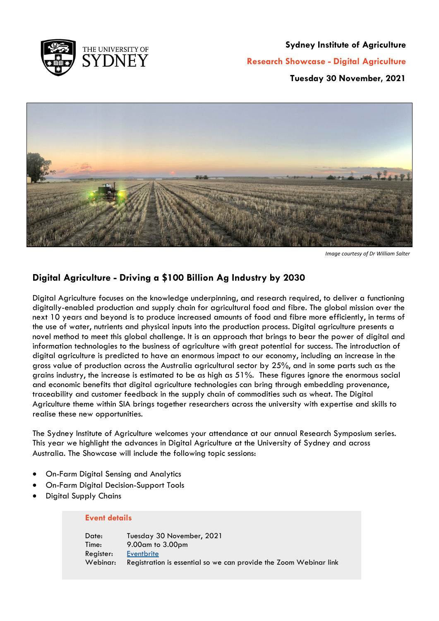

#### **Sydney Institute of Agriculture**

**Research Showcase - Digital Agriculture**

**Tuesday 30 November, 2021**



*Image courtesy of Dr William Salter*

### **Digital Agriculture - Driving a \$100 Billion Ag Industry by 2030**

Digital Agriculture focuses on the knowledge underpinning, and research required, to deliver a functioning digitally-enabled production and supply chain for agricultural food and fibre. The global mission over the next 10 years and beyond is to produce increased amounts of food and fibre more efficiently, in terms of the use of water, nutrients and physical inputs into the production process. Digital agriculture presents a novel method to meet this global challenge. It is an approach that brings to bear the power of digital and information technologies to the business of agriculture with great potential for success. The introduction of digital agriculture is predicted to have an enormous impact to our economy, including an increase in the gross value of production across the Australia agricultural sector by 25%, and in some parts such as the grains industry, the increase is estimated to be as high as 51%. These figures ignore the enormous social and economic benefits that digital agriculture technologies can bring through embedding provenance, traceability and customer feedback in the supply chain of commodities such as wheat. The Digital Agriculture theme within SIA brings together researchers across the university with expertise and skills to realise these new opportunities.

The Sydney Institute of Agriculture welcomes your attendance at our annual Research Symposium series. This year we highlight the advances in Digital Agriculture at the University of Sydney and across Australia. The Showcase will include the following topic sessions:

- On-Farm Digital Sensing and Analytics
- On-Farm Digital Decision-Support Tools
- Digital Supply Chains

#### **Event details**

Date: Tuesday 30 November, 2021 Time: 9.00am to 3.00pm Register: [Eventbrite](https://www.eventbrite.com.au/e/sydney-institute-of-agriculture-research-showcase-digital-agriculture-tickets-206197611607) Webinar: Registration is essential so we can provide the Zoom Webinar link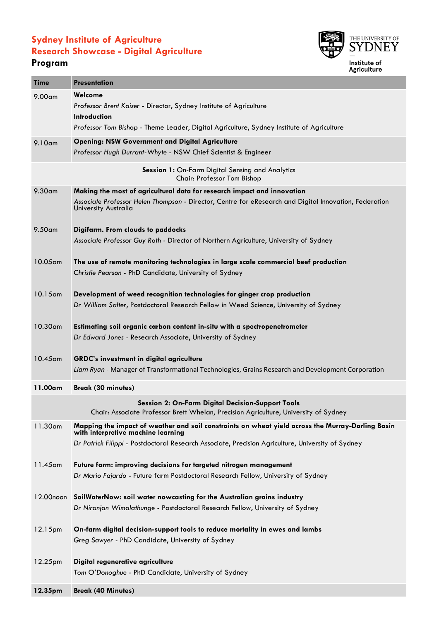## **Sydney Institute of Agriculture Research Showcase - Digital Agriculture**

## **Program**



| <b>Time</b>                                                                                                                                      | <b>Presentation</b>                                                                                                                                                                                       |  |
|--------------------------------------------------------------------------------------------------------------------------------------------------|-----------------------------------------------------------------------------------------------------------------------------------------------------------------------------------------------------------|--|
| 9.00 <sub>cm</sub>                                                                                                                               | Welcome<br>Professor Brent Kaiser - Director, Sydney Institute of Agriculture<br>Introduction<br>Professor Tom Bishop - Theme Leader, Digital Agriculture, Sydney Institute of Agriculture                |  |
|                                                                                                                                                  |                                                                                                                                                                                                           |  |
| 9.10am                                                                                                                                           | <b>Opening: NSW Government and Digital Agriculture</b><br>Professor Hugh Durrant-Whyte - NSW Chief Scientist & Engineer                                                                                   |  |
| Session 1: On-Farm Digital Sensing and Analytics<br>Chair: Professor Tom Bishop                                                                  |                                                                                                                                                                                                           |  |
| 9.30 <sub>am</sub>                                                                                                                               | Making the most of agricultural data for research impact and innovation<br>Associate Professor Helen Thompson - Director, Centre for eResearch and Digital Innovation, Federation<br>University Australia |  |
| 9.50 <sub>cm</sub>                                                                                                                               | Digifarm. From clouds to paddocks<br>Associate Professor Guy Roth - Director of Northern Agriculture, University of Sydney                                                                                |  |
| $10.05$ am                                                                                                                                       | The use of remote monitoring technologies in large scale commercial beef production<br>Christie Pearson - PhD Candidate, University of Sydney                                                             |  |
| $10.15$ am                                                                                                                                       | Development of weed recognition technologies for ginger crop production<br>Dr William Salter, Postdoctoral Research Fellow in Weed Science, University of Sydney                                          |  |
| 10.30am                                                                                                                                          | Estimating soil organic carbon content in-situ with a spectropenetrometer<br>Dr Edward Jones - Research Associate, University of Sydney                                                                   |  |
| $10.45$ am                                                                                                                                       | <b>GRDC's investment in digital agriculture</b><br>Liam Ryan - Manager of Transformational Technologies, Grains Research and Development Corporation                                                      |  |
| 11.00am                                                                                                                                          | <b>Break (30 minutes)</b>                                                                                                                                                                                 |  |
| <b>Session 2: On-Farm Digital Decision-Support Tools</b><br>Chair: Associate Professor Brett Whelan, Precision Agriculture, University of Sydney |                                                                                                                                                                                                           |  |
| 11.30am                                                                                                                                          | Mapping the impact of weather and soil constraints on wheat yield across the Murray-Darling Basin<br>with interpretive machine learning                                                                   |  |
|                                                                                                                                                  | Dr Patrick Filippi - Postdoctoral Research Associate, Precision Agriculture, University of Sydney                                                                                                         |  |
| 11.45 am                                                                                                                                         | Future farm: improving decisions for targeted nitrogen management                                                                                                                                         |  |
|                                                                                                                                                  | Dr Mario Fajardo - Future farm Postdoctoral Research Fellow, University of Sydney                                                                                                                         |  |
| 12.00noon                                                                                                                                        | SoilWaterNow: soil water nowcasting for the Australian grains industry                                                                                                                                    |  |
|                                                                                                                                                  | Dr Niranjan Wimalathunge - Postdoctoral Research Fellow, University of Sydney                                                                                                                             |  |
| 12.15pm                                                                                                                                          | On-farm digital decision-support tools to reduce mortality in ewes and lambs                                                                                                                              |  |
|                                                                                                                                                  | Greg Sawyer - PhD Candidate, University of Sydney                                                                                                                                                         |  |
| 12.25pm                                                                                                                                          | Digital regenerative agriculture                                                                                                                                                                          |  |
|                                                                                                                                                  | Tom O'Donoghue - PhD Candidate, University of Sydney                                                                                                                                                      |  |
| 12.35pm                                                                                                                                          | <b>Break (40 Minutes)</b>                                                                                                                                                                                 |  |